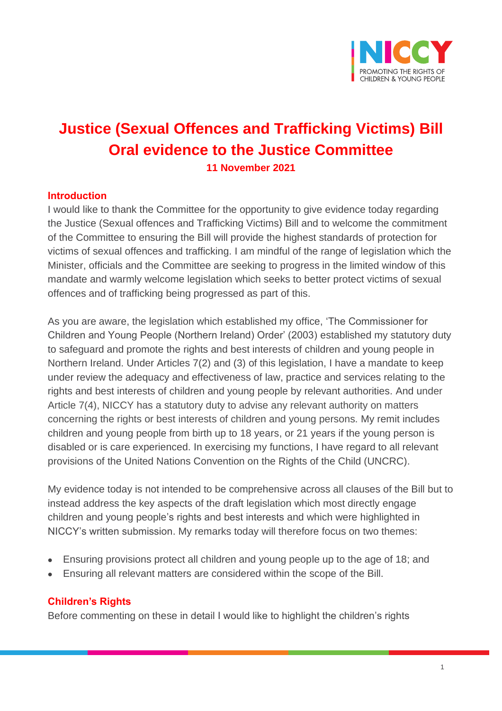

# **Justice (Sexual Offences and Trafficking Victims) Bill Oral evidence to the Justice Committee**

**11 November 2021**

#### **Introduction**

I would like to thank the Committee for the opportunity to give evidence today regarding the Justice (Sexual offences and Trafficking Victims) Bill and to welcome the commitment of the Committee to ensuring the Bill will provide the highest standards of protection for victims of sexual offences and trafficking. I am mindful of the range of legislation which the Minister, officials and the Committee are seeking to progress in the limited window of this mandate and warmly welcome legislation which seeks to better protect victims of sexual offences and of trafficking being progressed as part of this.

As you are aware, the legislation which established my office, 'The Commissioner for Children and Young People (Northern Ireland) Order' (2003) established my statutory duty to safeguard and promote the rights and best interests of children and young people in Northern Ireland. Under Articles 7(2) and (3) of this legislation, I have a mandate to keep under review the adequacy and effectiveness of law, practice and services relating to the rights and best interests of children and young people by relevant authorities. And under Article 7(4), NICCY has a statutory duty to advise any relevant authority on matters concerning the rights or best interests of children and young persons. My remit includes children and young people from birth up to 18 years, or 21 years if the young person is disabled or is care experienced. In exercising my functions, I have regard to all relevant provisions of the United Nations Convention on the Rights of the Child (UNCRC).

My evidence today is not intended to be comprehensive across all clauses of the Bill but to instead address the key aspects of the draft legislation which most directly engage children and young people's rights and best interests and which were highlighted in NICCY's written submission. My remarks today will therefore focus on two themes:

- Ensuring provisions protect all children and young people up to the age of 18; and
- Ensuring all relevant matters are considered within the scope of the Bill.

#### **Children's Rights**

Before commenting on these in detail I would like to highlight the children's rights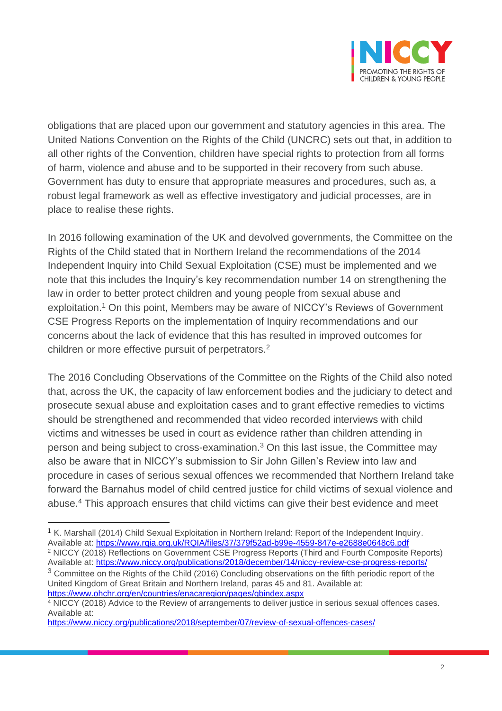

obligations that are placed upon our government and statutory agencies in this area. The United Nations Convention on the Rights of the Child (UNCRC) sets out that, in addition to all other rights of the Convention, children have special rights to protection from all forms of harm, violence and abuse and to be supported in their recovery from such abuse. Government has duty to ensure that appropriate measures and procedures, such as, a robust legal framework as well as effective investigatory and judicial processes, are in place to realise these rights.

In 2016 following examination of the UK and devolved governments, the Committee on the Rights of the Child stated that in Northern Ireland the recommendations of the 2014 Independent Inquiry into Child Sexual Exploitation (CSE) must be implemented and we note that this includes the Inquiry's key recommendation number 14 on strengthening the law in order to better protect children and young people from sexual abuse and exploitation.<sup>1</sup> On this point, Members may be aware of NICCY's Reviews of Government CSE Progress Reports on the implementation of Inquiry recommendations and our concerns about the lack of evidence that this has resulted in improved outcomes for children or more effective pursuit of perpetrators.<sup>2</sup>

The 2016 Concluding Observations of the Committee on the Rights of the Child also noted that, across the UK, the capacity of law enforcement bodies and the judiciary to detect and prosecute sexual abuse and exploitation cases and to grant effective remedies to victims should be strengthened and recommended that video recorded interviews with child victims and witnesses be used in court as evidence rather than children attending in person and being subject to cross-examination.<sup>3</sup> On this last issue, the Committee may also be aware that in NICCY's submission to Sir John Gillen's Review into law and procedure in cases of serious sexual offences we recommended that Northern Ireland take forward the Barnahus model of child centred justice for child victims of sexual violence and abuse.<sup>4</sup> This approach ensures that child victims can give their best evidence and meet

<sup>3</sup> Committee on the Rights of the Child (2016) Concluding observations on the fifth periodic report of the United Kingdom of Great Britain and Northern Ireland, paras 45 and 81. Available at: <https://www.ohchr.org/en/countries/enacaregion/pages/gbindex.aspx>

<sup>1</sup> K. Marshall (2014) Child Sexual Exploitation in Northern Ireland: Report of the Independent Inquiry. Available at:<https://www.rqia.org.uk/RQIA/files/37/379f52ad-b99e-4559-847e-e2688e0648c6.pdf>

<sup>2</sup> NICCY (2018) Reflections on Government CSE Progress Reports (Third and Fourth Composite Reports) Available at:<https://www.niccy.org/publications/2018/december/14/niccy-review-cse-progress-reports/>

<sup>4</sup> NICCY (2018) Advice to the Review of arrangements to deliver justice in serious sexual offences cases. Available at:

<https://www.niccy.org/publications/2018/september/07/review-of-sexual-offences-cases/>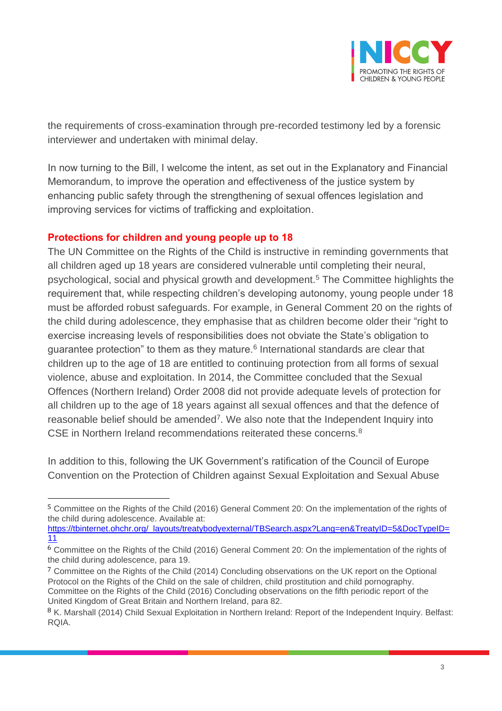

the requirements of cross-examination through pre-recorded testimony led by a forensic interviewer and undertaken with minimal delay.

In now turning to the Bill, I welcome the intent, as set out in the Explanatory and Financial Memorandum, to improve the operation and effectiveness of the justice system by enhancing public safety through the strengthening of sexual offences legislation and improving services for victims of trafficking and exploitation.

## **Protections for children and young people up to 18**

The UN Committee on the Rights of the Child is instructive in reminding governments that all children aged up 18 years are considered vulnerable until completing their neural, psychological, social and physical growth and development.<sup>5</sup> The Committee highlights the requirement that, while respecting children's developing autonomy, young people under 18 must be afforded robust safeguards. For example, in General Comment 20 on the rights of the child during adolescence, they emphasise that as children become older their "right to exercise increasing levels of responsibilities does not obviate the State's obligation to guarantee protection" to them as they mature.<sup>6</sup> International standards are clear that children up to the age of 18 are entitled to continuing protection from all forms of sexual violence, abuse and exploitation. In 2014, the Committee concluded that the Sexual Offences (Northern Ireland) Order 2008 did not provide adequate levels of protection for all children up to the age of 18 years against all sexual offences and that the defence of reasonable belief should be amended<sup>7</sup>. We also note that the Independent Inquiry into CSE in Northern Ireland recommendations reiterated these concerns. $8$ 

In addition to this, following the UK Government's ratification of the Council of Europe Convention on the Protection of Children against Sexual Exploitation and Sexual Abuse

[https://tbinternet.ohchr.org/\\_layouts/treatybodyexternal/TBSearch.aspx?Lang=en&TreatyID=5&DocTypeID=](https://tbinternet.ohchr.org/_layouts/treatybodyexternal/TBSearch.aspx?Lang=en&TreatyID=5&DocTypeID=11) [11](https://tbinternet.ohchr.org/_layouts/treatybodyexternal/TBSearch.aspx?Lang=en&TreatyID=5&DocTypeID=11)

<sup>5</sup> Committee on the Rights of the Child (2016) General Comment 20: On the implementation of the rights of the child during adolescence. Available at:

<sup>6</sup> Committee on the Rights of the Child (2016) General Comment 20: On the implementation of the rights of the child during adolescence, para 19.

<sup>7</sup> Committee on the Rights of the Child (2014) Concluding observations on the UK report on the Optional Protocol on the Rights of the Child on the sale of children, child prostitution and child pornography. Committee on the Rights of the Child (2016) Concluding observations on the fifth periodic report of the United Kingdom of Great Britain and Northern Ireland, para 82.

<sup>8</sup> K. Marshall (2014) Child Sexual Exploitation in Northern Ireland: Report of the Independent Inquiry. Belfast: RQIA.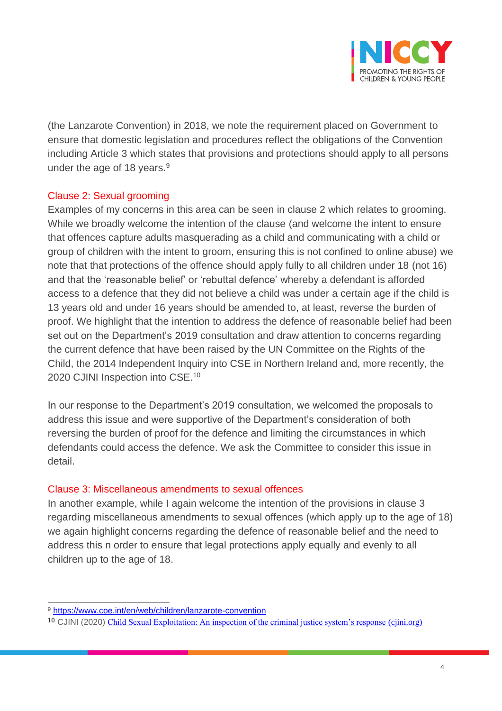

(the Lanzarote Convention) in 2018, we note the requirement placed on Government to ensure that domestic legislation and procedures reflect the obligations of the Convention including Article 3 which states that provisions and protections should apply to all persons under the age of 18 years.<sup>9</sup>

## Clause 2: Sexual grooming

Examples of my concerns in this area can be seen in clause 2 which relates to grooming. While we broadly welcome the intention of the clause (and welcome the intent to ensure that offences capture adults masquerading as a child and communicating with a child or group of children with the intent to groom, ensuring this is not confined to online abuse) we note that that protections of the offence should apply fully to all children under 18 (not 16) and that the 'reasonable belief' or 'rebuttal defence' whereby a defendant is afforded access to a defence that they did not believe a child was under a certain age if the child is 13 years old and under 16 years should be amended to, at least, reverse the burden of proof. We highlight that the intention to address the defence of reasonable belief had been set out on the Department's 2019 consultation and draw attention to concerns regarding the current defence that have been raised by the UN Committee on the Rights of the Child, the 2014 Independent Inquiry into CSE in Northern Ireland and, more recently, the 2020 CJINI Inspection into CSE.<sup>10</sup>

In our response to the Department's 2019 consultation, we welcomed the proposals to address this issue and were supportive of the Department's consideration of both reversing the burden of proof for the defence and limiting the circumstances in which defendants could access the defence. We ask the Committee to consider this issue in detail.

#### Clause 3: Miscellaneous amendments to sexual offences

In another example, while I again welcome the intention of the provisions in clause 3 regarding miscellaneous amendments to sexual offences (which apply up to the age of 18) we again highlight concerns regarding the defence of reasonable belief and the need to address this n order to ensure that legal protections apply equally and evenly to all children up to the age of 18.

<sup>9</sup> <https://www.coe.int/en/web/children/lanzarote-convention>

<sup>10</sup> CJINI (2020) [Child Sexual Exploitation: An inspection of the criminal justice system's response \(cjini.org\)](http://www.cjini.org/getattachment/31173a89-f283-4e24-ac04-4aab3cbd0d04/report.aspx)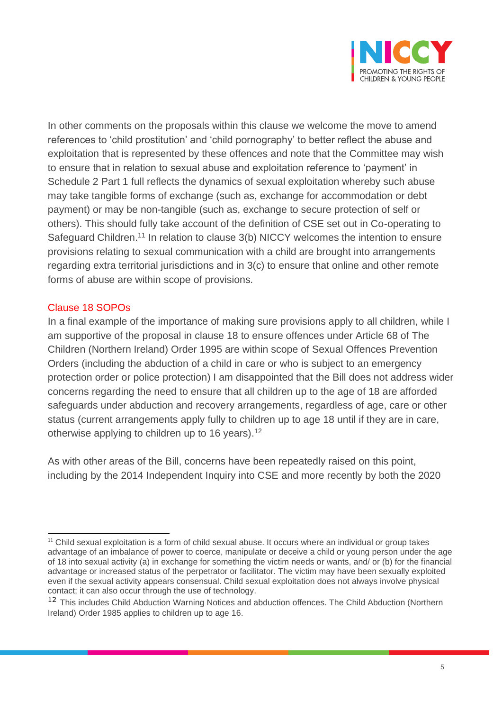

In other comments on the proposals within this clause we welcome the move to amend references to 'child prostitution' and 'child pornography' to better reflect the abuse and exploitation that is represented by these offences and note that the Committee may wish to ensure that in relation to sexual abuse and exploitation reference to 'payment' in Schedule 2 Part 1 full reflects the dynamics of sexual exploitation whereby such abuse may take tangible forms of exchange (such as, exchange for accommodation or debt payment) or may be non-tangible (such as, exchange to secure protection of self or others). This should fully take account of the definition of CSE set out in Co-operating to Safeguard Children.<sup>11</sup> In relation to clause 3(b) NICCY welcomes the intention to ensure provisions relating to sexual communication with a child are brought into arrangements regarding extra territorial jurisdictions and in 3(c) to ensure that online and other remote forms of abuse are within scope of provisions.

## Clause 18 SOPOs

In a final example of the importance of making sure provisions apply to all children, while I am supportive of the proposal in clause 18 to ensure offences under Article 68 of The Children (Northern Ireland) Order 1995 are within scope of Sexual Offences Prevention Orders (including the abduction of a child in care or who is subject to an emergency protection order or police protection) I am disappointed that the Bill does not address wider concerns regarding the need to ensure that all children up to the age of 18 are afforded safeguards under abduction and recovery arrangements, regardless of age, care or other status (current arrangements apply fully to children up to age 18 until if they are in care, otherwise applying to children up to 16 years).<sup>12</sup>

As with other areas of the Bill, concerns have been repeatedly raised on this point, including by the 2014 Independent Inquiry into CSE and more recently by both the 2020

<sup>&</sup>lt;sup>11</sup> Child sexual exploitation is a form of child sexual abuse. It occurs where an individual or group takes advantage of an imbalance of power to coerce, manipulate or deceive a child or young person under the age of 18 into sexual activity (a) in exchange for something the victim needs or wants, and/ or (b) for the financial advantage or increased status of the perpetrator or facilitator. The victim may have been sexually exploited even if the sexual activity appears consensual. Child sexual exploitation does not always involve physical contact; it can also occur through the use of technology.

<sup>&</sup>lt;sup>12</sup> This includes Child Abduction Warning Notices and abduction offences. The Child Abduction (Northern Ireland) Order 1985 applies to children up to age 16.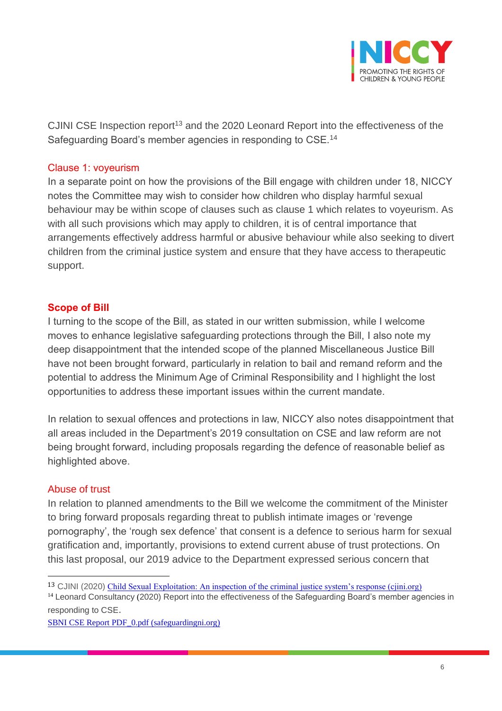

CJINI CSE Inspection report<sup>13</sup> and the 2020 Leonard Report into the effectiveness of the Safeguarding Board's member agencies in responding to CSE.<sup>14</sup>

#### Clause 1: voyeurism

In a separate point on how the provisions of the Bill engage with children under 18, NICCY notes the Committee may wish to consider how children who display harmful sexual behaviour may be within scope of clauses such as clause 1 which relates to voyeurism. As with all such provisions which may apply to children, it is of central importance that arrangements effectively address harmful or abusive behaviour while also seeking to divert children from the criminal justice system and ensure that they have access to therapeutic support.

#### **Scope of Bill**

I turning to the scope of the Bill, as stated in our written submission, while I welcome moves to enhance legislative safeguarding protections through the Bill, I also note my deep disappointment that the intended scope of the planned Miscellaneous Justice Bill have not been brought forward, particularly in relation to bail and remand reform and the potential to address the Minimum Age of Criminal Responsibility and I highlight the lost opportunities to address these important issues within the current mandate.

In relation to sexual offences and protections in law, NICCY also notes disappointment that all areas included in the Department's 2019 consultation on CSE and law reform are not being brought forward, including proposals regarding the defence of reasonable belief as highlighted above.

#### Abuse of trust

In relation to planned amendments to the Bill we welcome the commitment of the Minister to bring forward proposals regarding threat to publish intimate images or 'revenge pornography', the 'rough sex defence' that consent is a defence to serious harm for sexual gratification and, importantly, provisions to extend current abuse of trust protections. On this last proposal, our 2019 advice to the Department expressed serious concern that

<sup>13</sup> CJINI (2020) [Child Sexual Exploitation: An inspection of the criminal justice system's response \(cjini.org\)](http://www.cjini.org/getattachment/31173a89-f283-4e24-ac04-4aab3cbd0d04/report.aspx)

<sup>&</sup>lt;sup>14</sup> Leonard Consultancy (2020) Report into the effectiveness of the Safeguarding Board's member agencies in responding to CSE.

[SBNI CSE Report PDF\\_0.pdf \(safeguardingni.org\)](https://www.safeguardingni.org/sites/default/files/2020-11/SBNI%20CSE%20Report%20PDF_0.pdf)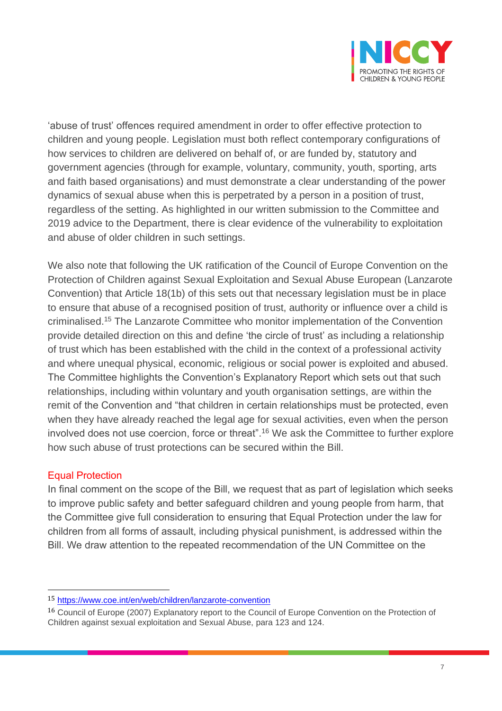

'abuse of trust' offences required amendment in order to offer effective protection to children and young people. Legislation must both reflect contemporary configurations of how services to children are delivered on behalf of, or are funded by, statutory and government agencies (through for example, voluntary, community, youth, sporting, arts and faith based organisations) and must demonstrate a clear understanding of the power dynamics of sexual abuse when this is perpetrated by a person in a position of trust, regardless of the setting. As highlighted in our written submission to the Committee and 2019 advice to the Department, there is clear evidence of the vulnerability to exploitation and abuse of older children in such settings.

We also note that following the UK ratification of the Council of Europe Convention on the Protection of Children against Sexual Exploitation and Sexual Abuse European (Lanzarote Convention) that Article 18(1b) of this sets out that necessary legislation must be in place to ensure that abuse of a recognised position of trust, authority or influence over a child is criminalised.<sup>15</sup> The Lanzarote Committee who monitor implementation of the Convention provide detailed direction on this and define 'the circle of trust' as including a relationship of trust which has been established with the child in the context of a professional activity and where unequal physical, economic, religious or social power is exploited and abused. The Committee highlights the Convention's Explanatory Report which sets out that such relationships, including within voluntary and youth organisation settings, are within the remit of the Convention and "that children in certain relationships must be protected, even when they have already reached the legal age for sexual activities, even when the person involved does not use coercion, force or threat".<sup>16</sup> We ask the Committee to further explore how such abuse of trust protections can be secured within the Bill.

#### Equal Protection

In final comment on the scope of the Bill, we request that as part of legislation which seeks to improve public safety and better safeguard children and young people from harm, that the Committee give full consideration to ensuring that Equal Protection under the law for children from all forms of assault, including physical punishment, is addressed within the Bill. We draw attention to the repeated recommendation of the UN Committee on the

<sup>15</sup> <https://www.coe.int/en/web/children/lanzarote-convention>

<sup>16</sup> Council of Europe (2007) Explanatory report to the Council of Europe Convention on the Protection of Children against sexual exploitation and Sexual Abuse, para 123 and 124.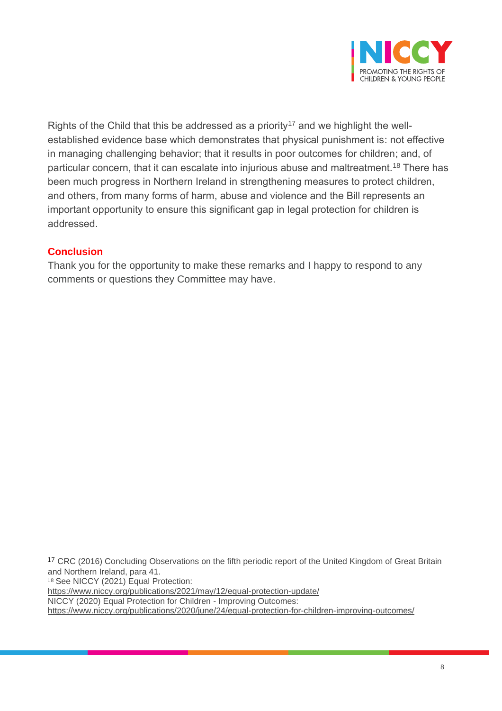

Rights of the Child that this be addressed as a priority<sup>17</sup> and we highlight the wellestablished evidence base which demonstrates that physical punishment is: not effective in managing challenging behavior; that it results in poor outcomes for children; and, of particular concern, that it can escalate into injurious abuse and maltreatment.<sup>18</sup> There has been much progress in Northern Ireland in strengthening measures to protect children, and others, from many forms of harm, abuse and violence and the Bill represents an important opportunity to ensure this significant gap in legal protection for children is addressed.

# **Conclusion**

Thank you for the opportunity to make these remarks and I happy to respond to any comments or questions they Committee may have.

18 See NICCY (2021) Equal Protection:

NICCY (2020) Equal Protection for Children - Improving Outcomes:

<sup>&</sup>lt;sup>17</sup> CRC (2016) Concluding Observations on the fifth periodic report of the United Kingdom of Great Britain and Northern Ireland, para 41.

[https://www.niccy.org/publications/2021/may/12/equal-protection-update/](https://eur01.safelinks.protection.outlook.com/?url=https%3A%2F%2Fwww.niccy.org%2Fpublications%2F2021%2Fmay%2F12%2Fequal-protection-update%2F&data=04%7C01%7CJacqueline%40NICCY.ORG%7Cf9ef513504204a079ce808d97f3d49ff%7C5820a9e267394cd7838b4cb0f6ccf5ce%7C0%7C0%7C637680723467128219%7CUnknown%7CTWFpbGZsb3d8eyJWIjoiMC4wLjAwMDAiLCJQIjoiV2luMzIiLCJBTiI6Ik1haWwiLCJXVCI6Mn0%3D%7C1000&sdata=b05QCAWjzQqTYTu1dRhc9DtvQSCrl3q4%2FIBxpcH9jvk%3D&reserved=0)

[https://www.niccy.org/publications/2020/june/24/equal-protection-for-children-improving-outcomes/](https://eur01.safelinks.protection.outlook.com/?url=https%3A%2F%2Fwww.niccy.org%2Fpublications%2F2020%2Fjune%2F24%2Fequal-protection-for-children-improving-outcomes%2F&data=04%7C01%7CJacqueline%40NICCY.ORG%7Cf9ef513504204a079ce808d97f3d49ff%7C5820a9e267394cd7838b4cb0f6ccf5ce%7C0%7C0%7C637680723467138178%7CUnknown%7CTWFpbGZsb3d8eyJWIjoiMC4wLjAwMDAiLCJQIjoiV2luMzIiLCJBTiI6Ik1haWwiLCJXVCI6Mn0%3D%7C1000&sdata=ohT4%2BOeGn3WXHi9EmxAZJ7M2brlhBDxHMjBfVKWjcy0%3D&reserved=0)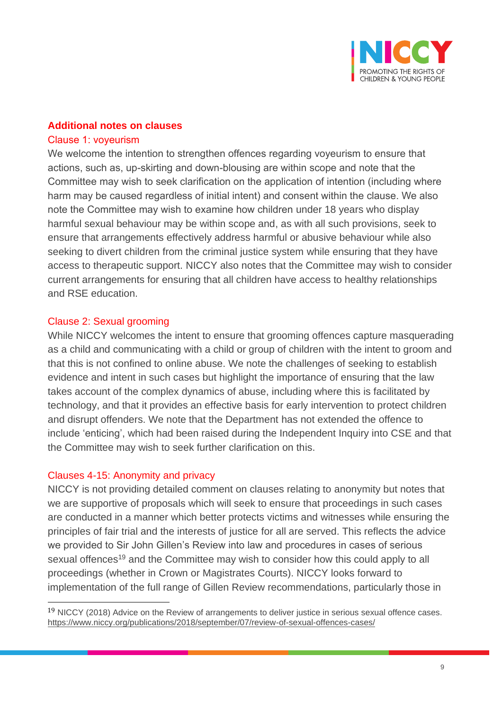

#### **Additional notes on clauses**

#### Clause 1: voyeurism

We welcome the intention to strengthen offences regarding voyeurism to ensure that actions, such as, up-skirting and down-blousing are within scope and note that the Committee may wish to seek clarification on the application of intention (including where harm may be caused regardless of initial intent) and consent within the clause. We also note the Committee may wish to examine how children under 18 years who display harmful sexual behaviour may be within scope and, as with all such provisions, seek to ensure that arrangements effectively address harmful or abusive behaviour while also seeking to divert children from the criminal justice system while ensuring that they have access to therapeutic support. NICCY also notes that the Committee may wish to consider current arrangements for ensuring that all children have access to healthy relationships and RSE education.

#### Clause 2: Sexual grooming

While NICCY welcomes the intent to ensure that grooming offences capture masquerading as a child and communicating with a child or group of children with the intent to groom and that this is not confined to online abuse. We note the challenges of seeking to establish evidence and intent in such cases but highlight the importance of ensuring that the law takes account of the complex dynamics of abuse, including where this is facilitated by technology, and that it provides an effective basis for early intervention to protect children and disrupt offenders. We note that the Department has not extended the offence to include 'enticing', which had been raised during the Independent Inquiry into CSE and that the Committee may wish to seek further clarification on this.

#### Clauses 4-15: Anonymity and privacy

NICCY is not providing detailed comment on clauses relating to anonymity but notes that we are supportive of proposals which will seek to ensure that proceedings in such cases are conducted in a manner which better protects victims and witnesses while ensuring the principles of fair trial and the interests of justice for all are served. This reflects the advice we provided to Sir John Gillen's Review into law and procedures in cases of serious sexual offences<sup>19</sup> and the Committee may wish to consider how this could apply to all proceedings (whether in Crown or Magistrates Courts). NICCY looks forward to implementation of the full range of Gillen Review recommendations, particularly those in

<sup>19</sup> NICCY (2018) Advice on the Review of arrangements to deliver justice in serious sexual offence cases. <https://www.niccy.org/publications/2018/september/07/review-of-sexual-offences-cases/>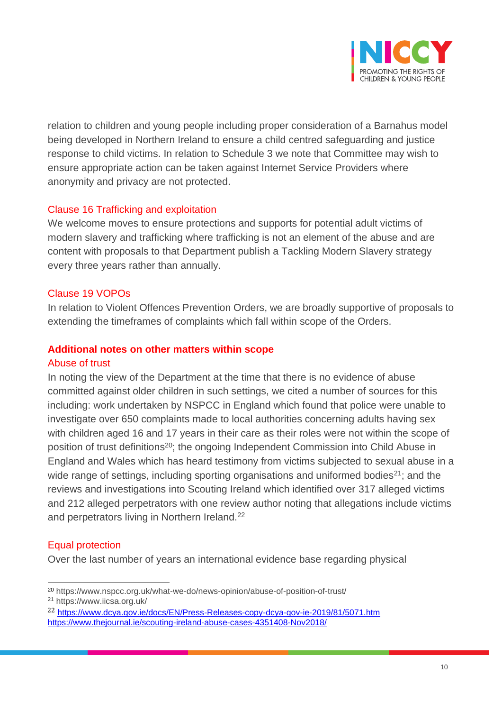

relation to children and young people including proper consideration of a Barnahus model being developed in Northern Ireland to ensure a child centred safeguarding and justice response to child victims. In relation to Schedule 3 we note that Committee may wish to ensure appropriate action can be taken against Internet Service Providers where anonymity and privacy are not protected.

## Clause 16 Trafficking and exploitation

We welcome moves to ensure protections and supports for potential adult victims of modern slavery and trafficking where trafficking is not an element of the abuse and are content with proposals to that Department publish a Tackling Modern Slavery strategy every three years rather than annually.

#### Clause 19 VOPOs

In relation to Violent Offences Prevention Orders, we are broadly supportive of proposals to extending the timeframes of complaints which fall within scope of the Orders.

#### **Additional notes on other matters within scope**

#### Abuse of trust

In noting the view of the Department at the time that there is no evidence of abuse committed against older children in such settings, we cited a number of sources for this including: work undertaken by NSPCC in England which found that police were unable to investigate over 650 complaints made to local authorities concerning adults having sex with children aged 16 and 17 years in their care as their roles were not within the scope of position of trust definitions<sup>20</sup>; the ongoing Independent Commission into Child Abuse in England and Wales which has heard testimony from victims subjected to sexual abuse in a wide range of settings, including sporting organisations and uniformed bodies<sup>21</sup>; and the reviews and investigations into Scouting Ireland which identified over 317 alleged victims and 212 alleged perpetrators with one review author noting that allegations include victims and perpetrators living in Northern Ireland.<sup>22</sup>

## Equal protection

Over the last number of years an international evidence base regarding physical

<sup>20</sup> https://www.nspcc.org.uk/what-we-do/news-opinion/abuse-of-position-of-trust/

<sup>21</sup> https://www.iicsa.org.uk/

<sup>22</sup> <https://www.dcya.gov.ie/docs/EN/Press-Releases-copy-dcya-gov-ie-2019/81/5071.htm> <https://www.thejournal.ie/scouting-ireland-abuse-cases-4351408-Nov2018/>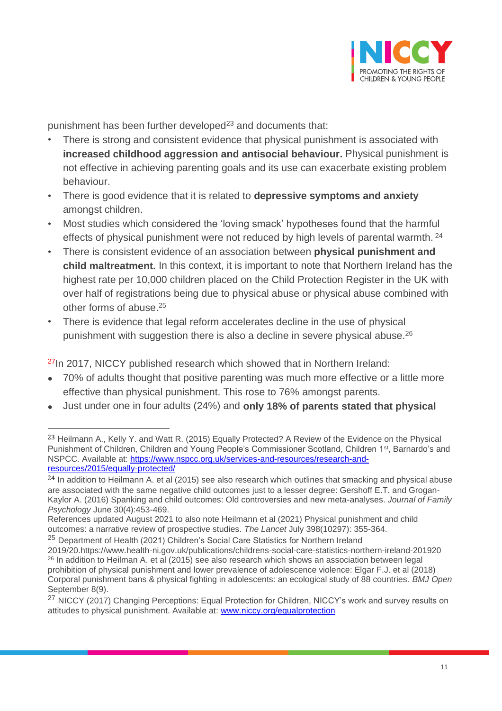

punishment has been further developed $23$  and documents that:

- There is strong and consistent evidence that physical punishment is associated with **increased childhood aggression and antisocial behaviour.** Physical punishment is not effective in achieving parenting goals and its use can exacerbate existing problem behaviour.
- There is good evidence that it is related to **depressive symptoms and anxiety**  amongst children.
- Most studies which considered the 'loving smack' hypotheses found that the harmful effects of physical punishment were not reduced by high levels of parental warmth. <sup>24</sup>
- There is consistent evidence of an association between **physical punishment and child maltreatment.** In this context, it is important to note that Northern Ireland has the highest rate per 10,000 children placed on the Child Protection Register in the UK with over half of registrations being due to physical abuse or physical abuse combined with other forms of abuse. 25
- There is evidence that legal reform accelerates decline in the use of physical punishment with suggestion there is also a decline in severe physical abuse.<sup>26</sup>

<sup>27</sup>In 2017, NICCY published research which showed that in Northern Ireland:

- 70% of adults thought that positive parenting was much more effective or a little more effective than physical punishment. This rose to 76% amongst parents.
- Just under one in four adults (24%) and **only 18% of parents stated that physical**

<sup>23</sup> Heilmann A., Kelly Y. and Watt R. (2015) Equally Protected? A Review of the Evidence on the Physical Punishment of Children, Children and Young People's Commissioner Scotland, Children 1<sup>st</sup>, Barnardo's and NSPCC. Available at: [https://www.nspcc.org.uk/services-and-resources/research-and](https://www.nspcc.org.uk/services-and-resources/research-and-resources/2015/equally-protected/)[resources/2015/equally-protected/](https://www.nspcc.org.uk/services-and-resources/research-and-resources/2015/equally-protected/)

 $^{24}$  In addition to Heilmann A. et al (2015) see also research which outlines that smacking and physical abuse are associated with the same negative child outcomes just to a lesser degree: Gershoff E.T. and Grogan-Kaylor A. (2016) Spanking and child outcomes: Old controversies and new meta-analyses. *Journal of Family Psychology* June 30(4):453-469.

References updated August 2021 to also note Heilmann et al (2021) Physical punishment and child outcomes: a narrative review of prospective studies. *The Lancet* July 398(10297): 355-364.

<sup>&</sup>lt;sup>25</sup> Department of Health (2021) Children's Social Care Statistics for Northern Ireland

<sup>2019/20.</sup>https://www.health-ni.gov.uk/publications/childrens-social-care-statistics-northern-ireland-201920 <sup>26</sup> In addition to Heilman A. et al (2015) see also research which shows an association between legal prohibition of physical punishment and lower prevalence of adolescence violence: Elgar F.J. et al (2018) Corporal punishment bans & physical fighting in adolescents: an ecological study of 88 countries. *BMJ Open* September 8(9).

<sup>&</sup>lt;sup>27</sup> NICCY (2017) Changing Perceptions: Equal Protection for Children, NICCY's work and survey results on attitudes to physical punishment. Available at: [www.niccy.org/equalprotection](http://www.niccy.org/equalprotection)